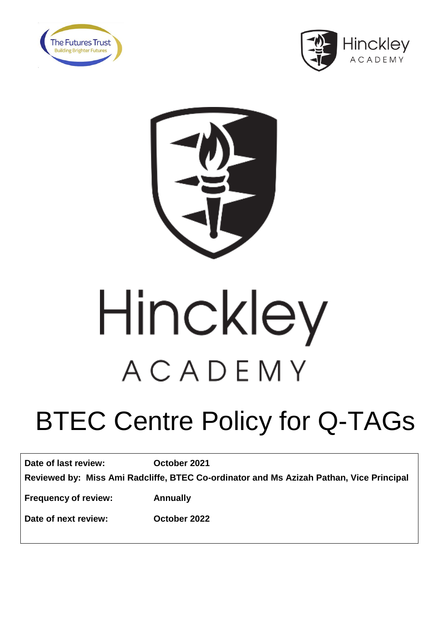





# Hinckley ACADEMY

# BTEC Centre Policy for Q-TAGs

| Date of last review:                                                                    | October 2021 |
|-----------------------------------------------------------------------------------------|--------------|
| Reviewed by: Miss Ami Radcliffe, BTEC Co-ordinator and Ms Azizah Pathan, Vice Principal |              |
| <b>Frequency of review:</b>                                                             | Annually     |

**Date of next review: October 2022**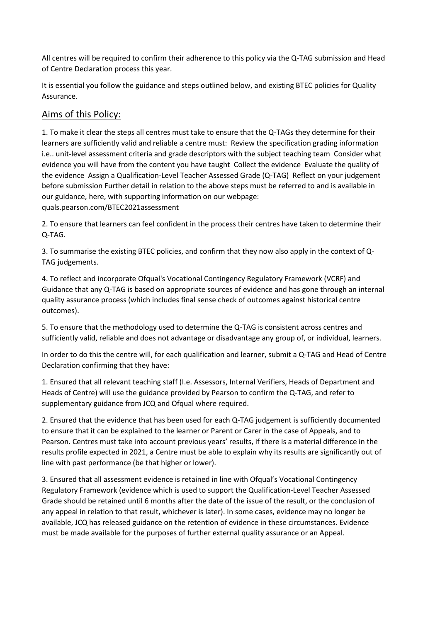All centres will be required to confirm their adherence to this policy via the Q-TAG submission and Head of Centre Declaration process this year.

It is essential you follow the guidance and steps outlined below, and existing BTEC policies for Quality Assurance.

# Aims of this Policy:

1. To make it clear the steps all centres must take to ensure that the Q-TAGs they determine for their learners are sufficiently valid and reliable a centre must: Review the specification grading information i.e.. unit-level assessment criteria and grade descriptors with the subject teaching team Consider what evidence you will have from the content you have taught Collect the evidence Evaluate the quality of the evidence Assign a Qualification-Level Teacher Assessed Grade (Q-TAG) Reflect on your judgement before submission Further detail in relation to the above steps must be referred to and is available in our guidance, here, with supporting information on our webpage: quals.pearson.com/BTEC2021assessment

2. To ensure that learners can feel confident in the process their centres have taken to determine their Q-TAG.

3. To summarise the existing BTEC policies, and confirm that they now also apply in the context of Q-TAG judgements.

4. To reflect and incorporate Ofqual's Vocational Contingency Regulatory Framework (VCRF) and Guidance that any Q-TAG is based on appropriate sources of evidence and has gone through an internal quality assurance process (which includes final sense check of outcomes against historical centre outcomes).

5. To ensure that the methodology used to determine the Q-TAG is consistent across centres and sufficiently valid, reliable and does not advantage or disadvantage any group of, or individual, learners.

In order to do this the centre will, for each qualification and learner, submit a Q-TAG and Head of Centre Declaration confirming that they have:

1. Ensured that all relevant teaching staff (I.e. Assessors, Internal Verifiers, Heads of Department and Heads of Centre) will use the guidance provided by Pearson to confirm the Q-TAG, and refer to supplementary guidance from JCQ and Ofqual where required.

2. Ensured that the evidence that has been used for each Q-TAG judgement is sufficiently documented to ensure that it can be explained to the learner or Parent or Carer in the case of Appeals, and to Pearson. Centres must take into account previous years' results, if there is a material difference in the results profile expected in 2021, a Centre must be able to explain why its results are significantly out of line with past performance (be that higher or lower).

3. Ensured that all assessment evidence is retained in line with Ofqual's Vocational Contingency Regulatory Framework (evidence which is used to support the Qualification-Level Teacher Assessed Grade should be retained until 6 months after the date of the issue of the result, or the conclusion of any appeal in relation to that result, whichever is later). In some cases, evidence may no longer be available, JCQ has released guidance on the retention of evidence in these circumstances. Evidence must be made available for the purposes of further external quality assurance or an Appeal.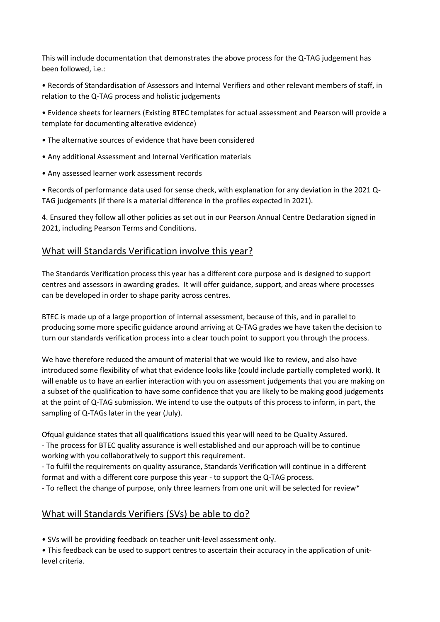This will include documentation that demonstrates the above process for the Q-TAG judgement has been followed, i.e.:

• Records of Standardisation of Assessors and Internal Verifiers and other relevant members of staff, in relation to the Q-TAG process and holistic judgements

• Evidence sheets for learners (Existing BTEC templates for actual assessment and Pearson will provide a template for documenting alterative evidence)

- The alternative sources of evidence that have been considered
- Any additional Assessment and Internal Verification materials
- Any assessed learner work assessment records

• Records of performance data used for sense check, with explanation for any deviation in the 2021 Q-TAG judgements (if there is a material difference in the profiles expected in 2021).

4. Ensured they follow all other policies as set out in our Pearson Annual Centre Declaration signed in 2021, including Pearson Terms and Conditions.

#### What will Standards Verification involve this year?

The Standards Verification process this year has a different core purpose and is designed to support centres and assessors in awarding grades. It will offer guidance, support, and areas where processes can be developed in order to shape parity across centres.

BTEC is made up of a large proportion of internal assessment, because of this, and in parallel to producing some more specific guidance around arriving at Q-TAG grades we have taken the decision to turn our standards verification process into a clear touch point to support you through the process.

We have therefore reduced the amount of material that we would like to review, and also have introduced some flexibility of what that evidence looks like (could include partially completed work). It will enable us to have an earlier interaction with you on assessment judgements that you are making on a subset of the qualification to have some confidence that you are likely to be making good judgements at the point of Q-TAG submission. We intend to use the outputs of this process to inform, in part, the sampling of Q-TAGs later in the year (July).

Ofqual guidance states that all qualifications issued this year will need to be Quality Assured.

- The process for BTEC quality assurance is well established and our approach will be to continue working with you collaboratively to support this requirement.

- To fulfil the requirements on quality assurance, Standards Verification will continue in a different format and with a different core purpose this year - to support the Q-TAG process.

- To reflect the change of purpose, only three learners from one unit will be selected for review\*

## What will Standards Verifiers (SVs) be able to do?

• SVs will be providing feedback on teacher unit-level assessment only.

• This feedback can be used to support centres to ascertain their accuracy in the application of unitlevel criteria.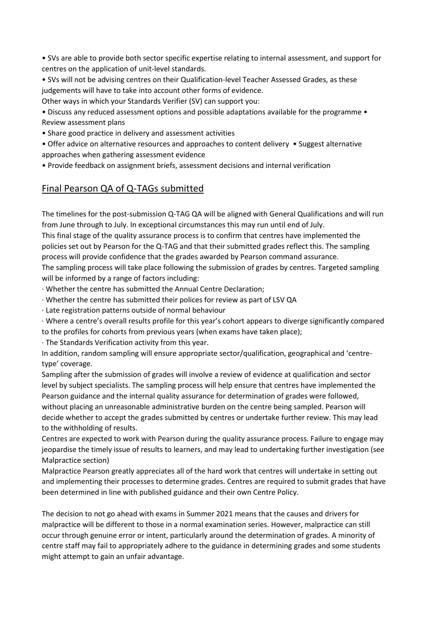• SVs are able to provide both sector specific expertise relating to internal assessment, and support for centres on the application of unit-level standards.

• SVs will not be advising centres on their Qualification-level Teacher Assessed Grades, as these judgements will have to take into account other forms of evidence.

Other ways in which your Standards Verifier (SV) can support you:

• Discuss any reduced assessment options and possible adaptations available for the programme • Review assessment plans

• Share good practice in delivery and assessment activities

• Offer advice on alternative resources and approaches to content delivery • Suggest alternative approaches when gathering assessment evidence

• Provide feedback on assignment briefs, assessment decisions and internal verification

## Final Pearson QA of Q-TAGs submitted

The timelines for the post-submission Q-TAG QA will be aligned with General Qualifications and will run from June through to July. In exceptional circumstances this may run until end of July.

This final stage of the quality assurance process is to confirm that centres have implemented the policies set out by Pearson for the Q-TAG and that their submitted grades reflect this. The sampling process will provide confidence that the grades awarded by Pearson command assurance.

The sampling process will take place following the submission of grades by centres. Targeted sampling will be informed by a range of factors including:

· Whether the centre has submitted the Annual Centre Declaration;

· Whether the centre has submitted their polices for review as part of LSV QA

· Late registration patterns outside of normal behaviour

· Where a centre's overall results profile for this year's cohort appears to diverge significantly compared to the profiles for cohorts from previous years (when exams have taken place);

· The Standards Verification activity from this year.

In addition, random sampling will ensure appropriate sector/qualification, geographical and 'centretype' coverage.

Sampling after the submission of grades will involve a review of evidence at qualification and sector level by subject specialists. The sampling process will help ensure that centres have implemented the Pearson guidance and the internal quality assurance for determination of grades were followed, without placing an unreasonable administrative burden on the centre being sampled. Pearson will decide whether to accept the grades submitted by centres or undertake further review. This may lead to the withholding of results.

Centres are expected to work with Pearson during the quality assurance process. Failure to engage may jeopardise the timely issue of results to learners, and may lead to undertaking further investigation (see Malpractice section)

Malpractice Pearson greatly appreciates all of the hard work that centres will undertake in setting out and implementing their processes to determine grades. Centres are required to submit grades that have been determined in line with published guidance and their own Centre Policy.

The decision to not go ahead with exams in Summer 2021 means that the causes and drivers for malpractice will be different to those in a normal examination series. However, malpractice can still occur through genuine error or intent, particularly around the determination of grades. A minority of centre staff may fail to appropriately adhere to the guidance in determining grades and some students might attempt to gain an unfair advantage.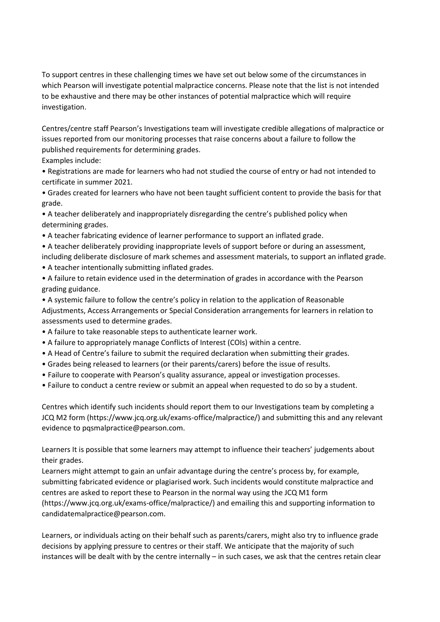To support centres in these challenging times we have set out below some of the circumstances in which Pearson will investigate potential malpractice concerns. Please note that the list is not intended to be exhaustive and there may be other instances of potential malpractice which will require investigation.

Centres/centre staff Pearson's Investigations team will investigate credible allegations of malpractice or issues reported from our monitoring processes that raise concerns about a failure to follow the published requirements for determining grades.

Examples include:

• Registrations are made for learners who had not studied the course of entry or had not intended to certificate in summer 2021.

• Grades created for learners who have not been taught sufficient content to provide the basis for that grade.

• A teacher deliberately and inappropriately disregarding the centre's published policy when determining grades.

- A teacher fabricating evidence of learner performance to support an inflated grade.
- A teacher deliberately providing inappropriate levels of support before or during an assessment, including deliberate disclosure of mark schemes and assessment materials, to support an inflated grade.
- A teacher intentionally submitting inflated grades.
- A failure to retain evidence used in the determination of grades in accordance with the Pearson grading guidance.

• A systemic failure to follow the centre's policy in relation to the application of Reasonable Adjustments, Access Arrangements or Special Consideration arrangements for learners in relation to assessments used to determine grades.

- A failure to take reasonable steps to authenticate learner work.
- A failure to appropriately manage Conflicts of Interest (COIs) within a centre.
- A Head of Centre's failure to submit the required declaration when submitting their grades.
- Grades being released to learners (or their parents/carers) before the issue of results.
- Failure to cooperate with Pearson's quality assurance, appeal or investigation processes.
- Failure to conduct a centre review or submit an appeal when requested to do so by a student.

Centres which identify such incidents should report them to our Investigations team by completing a JCQ M2 form (https://www.jcq.org.uk/exams-office/malpractice/) and submitting this and any relevant evidence to pqsmalpractice@pearson.com.

Learners It is possible that some learners may attempt to influence their teachers' judgements about their grades.

Learners might attempt to gain an unfair advantage during the centre's process by, for example, submitting fabricated evidence or plagiarised work. Such incidents would constitute malpractice and centres are asked to report these to Pearson in the normal way using the JCQ M1 form (https://www.jcq.org.uk/exams-office/malpractice/) and emailing this and supporting information to candidatemalpractice@pearson.com.

Learners, or individuals acting on their behalf such as parents/carers, might also try to influence grade decisions by applying pressure to centres or their staff. We anticipate that the majority of such instances will be dealt with by the centre internally – in such cases, we ask that the centres retain clear